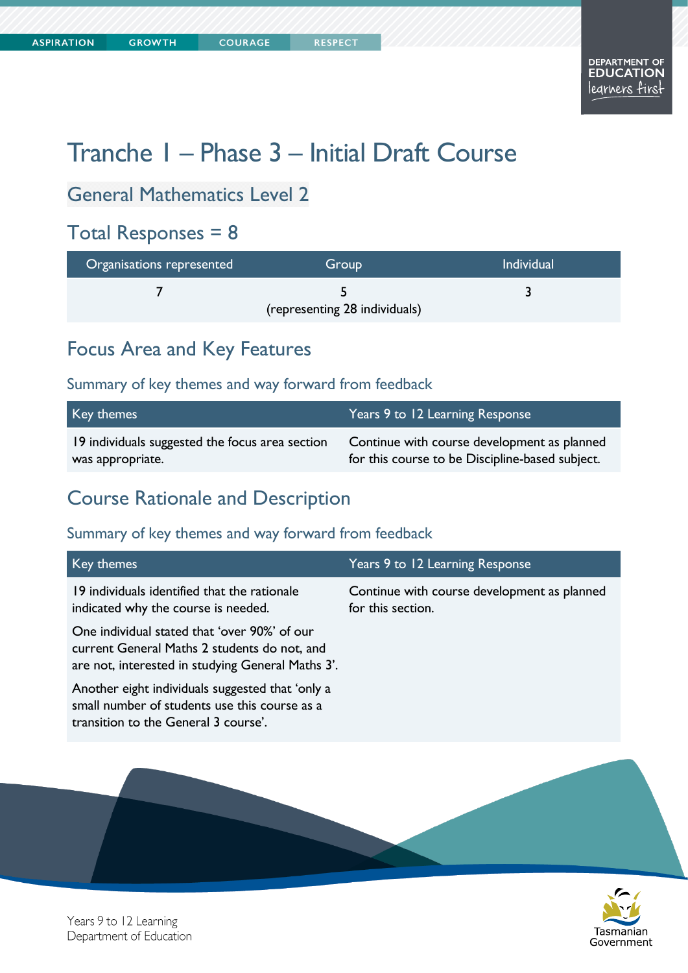**COURAGE** 

# Tranche 1 – Phase 3 – Initial Draft Course

## General Mathematics Level 2

## Total Responses = 8

| Organisations represented | Group                         | <b>Individual</b> |
|---------------------------|-------------------------------|-------------------|
|                           | (representing 28 individuals) |                   |

## Focus Area and Key Features

#### Summary of key themes and way forward from feedback

| Key themes                                      | Years 9 to 12 Learning Response                 |
|-------------------------------------------------|-------------------------------------------------|
| 19 individuals suggested the focus area section | Continue with course development as planned     |
| was appropriate.                                | for this course to be Discipline-based subject. |

## Course Rationale and Description

| Key themes                                                                                                                                        | Years 9 to 12 Learning Response                                  |
|---------------------------------------------------------------------------------------------------------------------------------------------------|------------------------------------------------------------------|
| 19 individuals identified that the rationale<br>indicated why the course is needed.                                                               | Continue with course development as planned<br>for this section. |
| One individual stated that 'over 90%' of our<br>current General Maths 2 students do not, and<br>are not, interested in studying General Maths 3'. |                                                                  |
| Another eight individuals suggested that 'only a<br>small number of students use this course as a<br>transition to the General 3 course'.         |                                                                  |

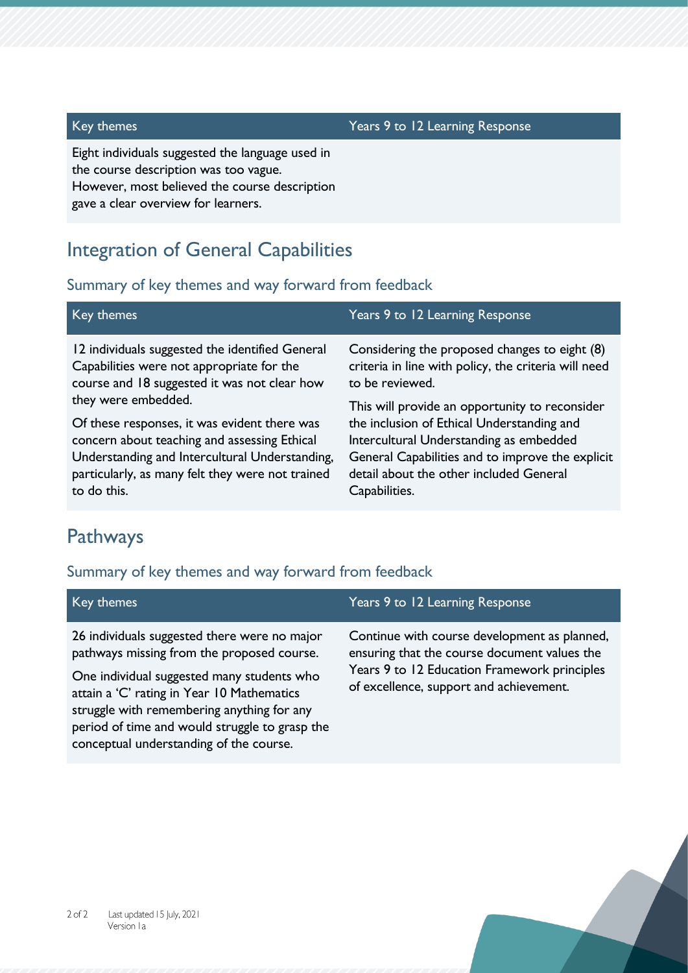#### Key themes Years 9 to 12 Learning Response

Eight individuals suggested the language used in the course description was too vague. However, most believed the course description gave a clear overview for learners.

## Integration of General Capabilities

#### Summary of key themes and way forward from feedback

| Key themes                                                                                                                                   | Years 9 to 12 Learning Response                                                                                          |
|----------------------------------------------------------------------------------------------------------------------------------------------|--------------------------------------------------------------------------------------------------------------------------|
| 12 individuals suggested the identified General<br>Capabilities were not appropriate for the<br>course and 18 suggested it was not clear how | Considering the proposed changes to eight (8)<br>criteria in line with policy, the criteria will need<br>to be reviewed. |
| they were embedded.                                                                                                                          | This will provide an opportunity to reconsider                                                                           |
| Of these responses, it was evident there was                                                                                                 | the inclusion of Ethical Understanding and                                                                               |
| concern about teaching and assessing Ethical                                                                                                 | Intercultural Understanding as embedded                                                                                  |
| Understanding and Intercultural Understanding,                                                                                               | General Capabilities and to improve the explicit                                                                         |
| particularly, as many felt they were not trained                                                                                             | detail about the other included General                                                                                  |
| to do this.                                                                                                                                  | Capabilities.                                                                                                            |

## Pathways

#### Summary of key themes and way forward from feedback

period of time and would struggle to grasp the

conceptual understanding of the course.

| Key themes                                                                                                                               | Years 9 to 12 Learning Response                                                                                                              |
|------------------------------------------------------------------------------------------------------------------------------------------|----------------------------------------------------------------------------------------------------------------------------------------------|
| 26 individuals suggested there were no major<br>pathways missing from the proposed course.<br>One individual suggested many students who | Continue with course development as planned,<br>ensuring that the course document values the<br>Years 9 to 12 Education Framework principles |
| attain a 'C' rating in Year 10 Mathematics<br>struggle with remembering anything for any                                                 | of excellence, support and achievement.                                                                                                      |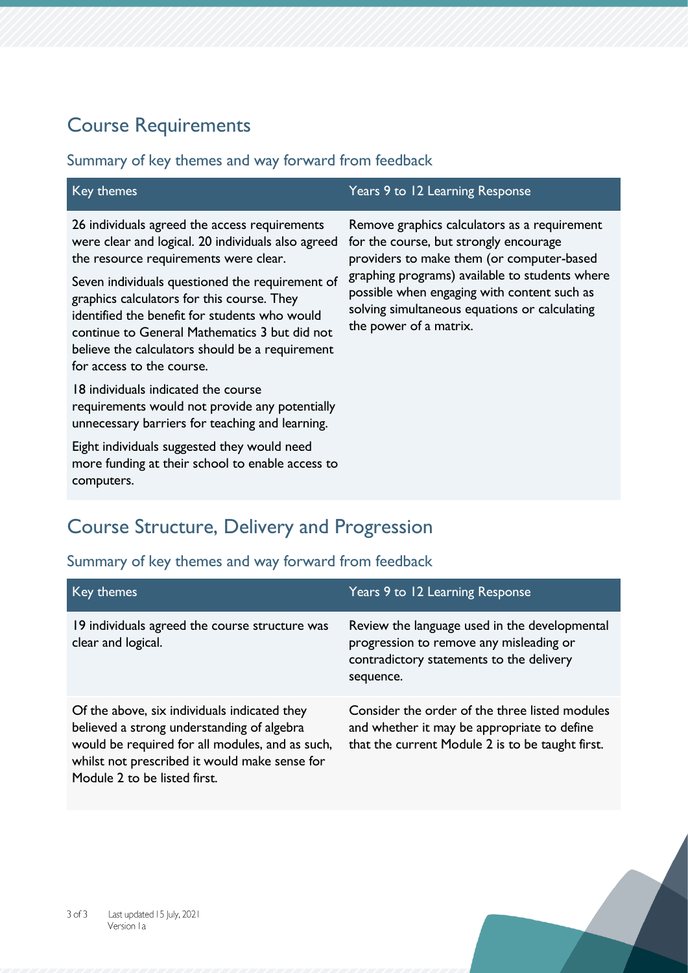## Course Requirements

## Summary of key themes and way forward from feedback

| Key themes                                                                                                                                                                                                                   | Years 9 to 12 Learning Response                                                                                                                                                                                                      |
|------------------------------------------------------------------------------------------------------------------------------------------------------------------------------------------------------------------------------|--------------------------------------------------------------------------------------------------------------------------------------------------------------------------------------------------------------------------------------|
| 26 individuals agreed the access requirements<br>were clear and logical. 20 individuals also agreed<br>the resource requirements were clear.<br>Seven individuals questioned the requirement of                              | Remove graphics calculators as a requirement<br>for the course, but strongly encourage<br>providers to make them (or computer-based<br>graphing programs) available to students where<br>possible when engaging with content such as |
| graphics calculators for this course. They<br>identified the benefit for students who would<br>continue to General Mathematics 3 but did not<br>believe the calculators should be a requirement<br>for access to the course. | solving simultaneous equations or calculating<br>the power of a matrix.                                                                                                                                                              |
| 18 individuals indicated the course<br>requirements would not provide any potentially<br>unnecessary barriers for teaching and learning.                                                                                     |                                                                                                                                                                                                                                      |
| Eight individuals suggested they would need<br>more funding at their school to enable access to<br>computers.                                                                                                                |                                                                                                                                                                                                                                      |

## Course Structure, Delivery and Progression

| Key themes                                                                                                                                                                                                                     | Years 9 to 12 Learning Response                                                                                                                   |
|--------------------------------------------------------------------------------------------------------------------------------------------------------------------------------------------------------------------------------|---------------------------------------------------------------------------------------------------------------------------------------------------|
| 19 individuals agreed the course structure was<br>clear and logical.                                                                                                                                                           | Review the language used in the developmental<br>progression to remove any misleading or<br>contradictory statements to the delivery<br>sequence. |
| Of the above, six individuals indicated they<br>believed a strong understanding of algebra<br>would be required for all modules, and as such,<br>whilst not prescribed it would make sense for<br>Module 2 to be listed first. | Consider the order of the three listed modules<br>and whether it may be appropriate to define<br>that the current Module 2 is to be taught first. |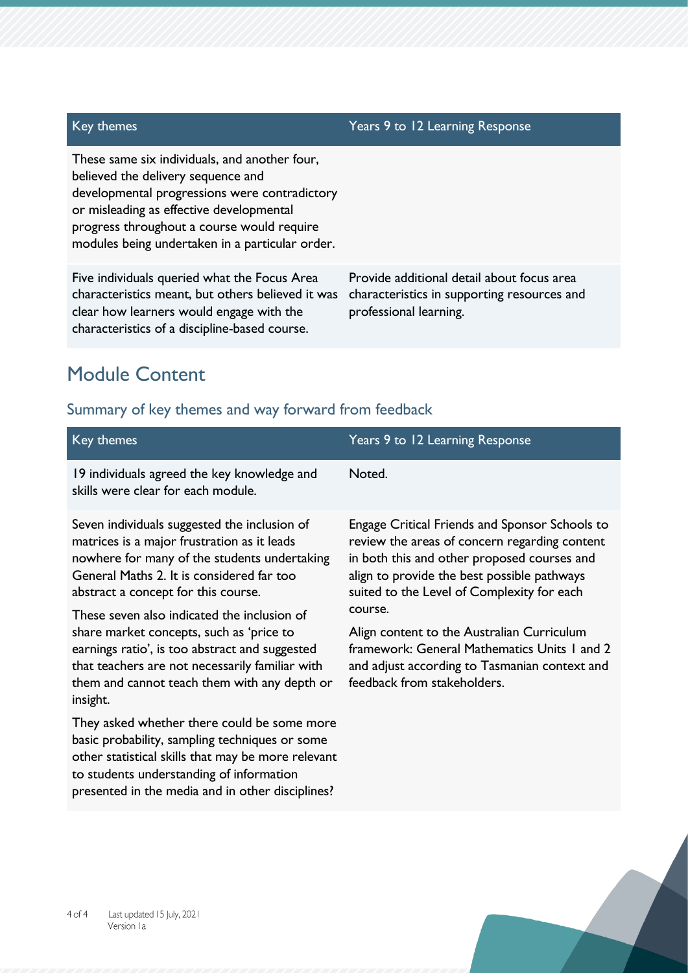#### Key themes Years 9 to 12 Learning Response

These same six individuals, and another four, believed the delivery sequence and developmental progressions were contradictory or misleading as effective developmental progress throughout a course would require modules being undertaken in a particular order.

Five individuals queried what the Focus Area characteristics meant, but others believed it was clear how learners would engage with the characteristics of a discipline-based course.

Provide additional detail about focus area characteristics in supporting resources and professional learning.

## Module Content

| Key themes                                                                                                                                                                                                                                                                                                                                                                                                                                                                      | Years 9 to 12 Learning Response                                                                                                                                                                                                                                                                                                                                                                                                             |
|---------------------------------------------------------------------------------------------------------------------------------------------------------------------------------------------------------------------------------------------------------------------------------------------------------------------------------------------------------------------------------------------------------------------------------------------------------------------------------|---------------------------------------------------------------------------------------------------------------------------------------------------------------------------------------------------------------------------------------------------------------------------------------------------------------------------------------------------------------------------------------------------------------------------------------------|
| 19 individuals agreed the key knowledge and<br>skills were clear for each module.                                                                                                                                                                                                                                                                                                                                                                                               | Noted.                                                                                                                                                                                                                                                                                                                                                                                                                                      |
| Seven individuals suggested the inclusion of<br>matrices is a major frustration as it leads<br>nowhere for many of the students undertaking<br>General Maths 2. It is considered far too<br>abstract a concept for this course.<br>These seven also indicated the inclusion of<br>share market concepts, such as 'price to<br>earnings ratio', is too abstract and suggested<br>that teachers are not necessarily familiar with<br>them and cannot teach them with any depth or | <b>Engage Critical Friends and Sponsor Schools to</b><br>review the areas of concern regarding content<br>in both this and other proposed courses and<br>align to provide the best possible pathways<br>suited to the Level of Complexity for each<br>course.<br>Align content to the Australian Curriculum<br>framework: General Mathematics Units 1 and 2<br>and adjust according to Tasmanian context and<br>feedback from stakeholders. |
| insight.<br>They asked whether there could be some more<br>basic probability, sampling techniques or some<br>other statistical skills that may be more relevant<br>to students understanding of information<br>presented in the media and in other disciplines?                                                                                                                                                                                                                 |                                                                                                                                                                                                                                                                                                                                                                                                                                             |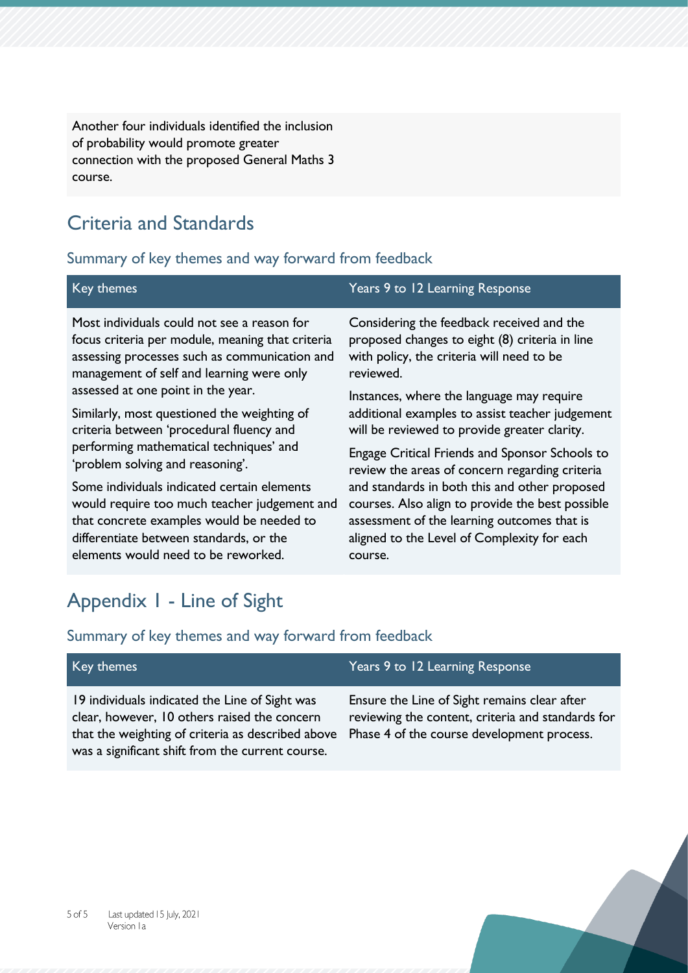Another four individuals identified the inclusion of probability would promote greater connection with the proposed General Maths 3 course.

## Criteria and Standards

#### Summary of key themes and way forward from feedback

| Key themes                                       | Years 9 to 12 Learning Response                  |
|--------------------------------------------------|--------------------------------------------------|
| Most individuals could not see a reason for      | Considering the feedback received and the        |
| focus criteria per module, meaning that criteria | proposed changes to eight (8) criteria in line   |
| assessing processes such as communication and    | with policy, the criteria will need to be        |
| management of self and learning were only        | reviewed.                                        |
| assessed at one point in the year.               | Instances, where the language may require        |
| Similarly, most questioned the weighting of      | additional examples to assist teacher judgement  |
| criteria between 'procedural fluency and         | will be reviewed to provide greater clarity.     |
| performing mathematical techniques' and          | Engage Critical Friends and Sponsor Schools to   |
| 'problem solving and reasoning'.                 | review the areas of concern regarding criteria   |
| Some individuals indicated certain elements      | and standards in both this and other proposed    |
| would require too much teacher judgement and     | courses. Also align to provide the best possible |

that concrete examples would be needed to differentiate between standards, or the elements would need to be reworked.

assessment of the learning outcomes that is aligned to the Level of Complexity for each course.

## Appendix 1 - Line of Sight

| Key themes                                                                                                                                                                                              | Years 9 to 12 Learning Response                                                                                                                 |
|---------------------------------------------------------------------------------------------------------------------------------------------------------------------------------------------------------|-------------------------------------------------------------------------------------------------------------------------------------------------|
| 19 individuals indicated the Line of Sight was<br>clear, however, 10 others raised the concern<br>that the weighting of criteria as described above<br>was a significant shift from the current course. | Ensure the Line of Sight remains clear after<br>reviewing the content, criteria and standards for<br>Phase 4 of the course development process. |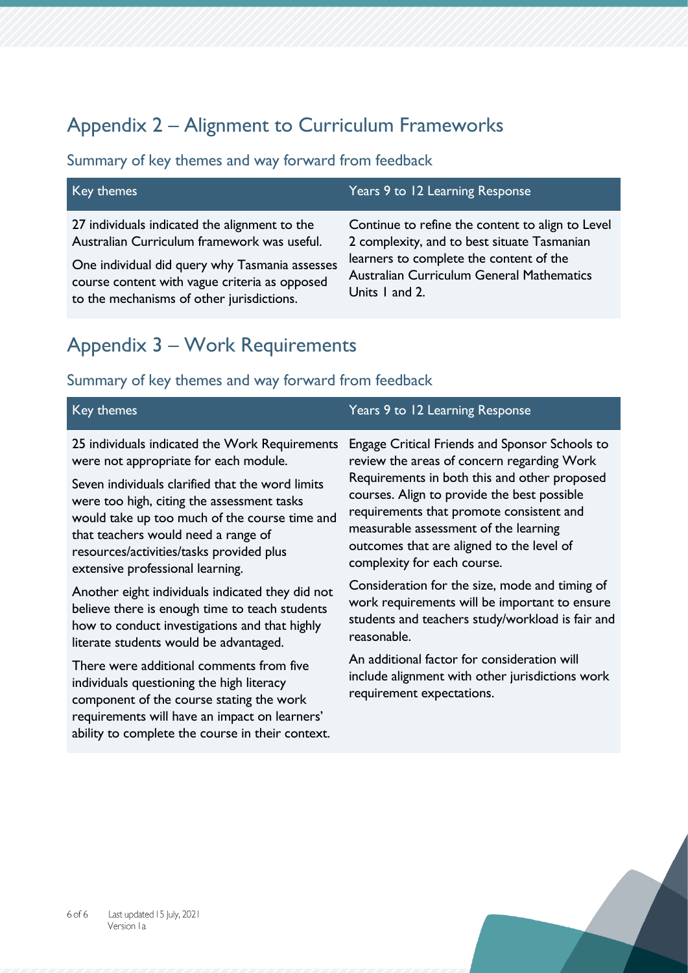## Appendix 2 – Alignment to Curriculum Frameworks

### Summary of key themes and way forward from feedback

| Key themes                                                                                                                                                                                                                                   | Years 9 to 12 Learning Response                                                                                                                                                                           |
|----------------------------------------------------------------------------------------------------------------------------------------------------------------------------------------------------------------------------------------------|-----------------------------------------------------------------------------------------------------------------------------------------------------------------------------------------------------------|
| 27 individuals indicated the alignment to the<br>Australian Curriculum framework was useful.<br>One individual did query why Tasmania assesses<br>course content with vague criteria as opposed<br>to the mechanisms of other jurisdictions. | Continue to refine the content to align to Level<br>2 complexity, and to best situate Tasmanian<br>learners to complete the content of the<br>Australian Curriculum General Mathematics<br>Units I and 2. |
|                                                                                                                                                                                                                                              |                                                                                                                                                                                                           |

## Appendix 3 – Work Requirements

#### Summary of key themes and way forward from feedback

| Key themes                                                                                                                                                                                                                                                                                                                                                                                                                                                                                                                                                         | Years 9 to 12 Learning Response                                                                                                                                                                                                                                                                                                                                                                                                                                                                                                    |
|--------------------------------------------------------------------------------------------------------------------------------------------------------------------------------------------------------------------------------------------------------------------------------------------------------------------------------------------------------------------------------------------------------------------------------------------------------------------------------------------------------------------------------------------------------------------|------------------------------------------------------------------------------------------------------------------------------------------------------------------------------------------------------------------------------------------------------------------------------------------------------------------------------------------------------------------------------------------------------------------------------------------------------------------------------------------------------------------------------------|
| 25 individuals indicated the Work Requirements<br>were not appropriate for each module.<br>Seven individuals clarified that the word limits<br>were too high, citing the assessment tasks<br>would take up too much of the course time and<br>that teachers would need a range of<br>resources/activities/tasks provided plus<br>extensive professional learning.<br>Another eight individuals indicated they did not<br>believe there is enough time to teach students<br>how to conduct investigations and that highly<br>literate students would be advantaged. | Engage Critical Friends and Sponsor Schools to<br>review the areas of concern regarding Work<br>Requirements in both this and other proposed<br>courses. Align to provide the best possible<br>requirements that promote consistent and<br>measurable assessment of the learning<br>outcomes that are aligned to the level of<br>complexity for each course.<br>Consideration for the size, mode and timing of<br>work requirements will be important to ensure<br>students and teachers study/workload is fair and<br>reasonable. |
|                                                                                                                                                                                                                                                                                                                                                                                                                                                                                                                                                                    | $\mathbf{A}$ in the set of $\mathbf{A}$                                                                                                                                                                                                                                                                                                                                                                                                                                                                                            |

There were additional comments from five individuals questioning the high literacy component of the course stating the work requirements will have an impact on learners' ability to complete the course in their context.

An additional factor for consideration will include alignment with other jurisdictions work requirement expectations.